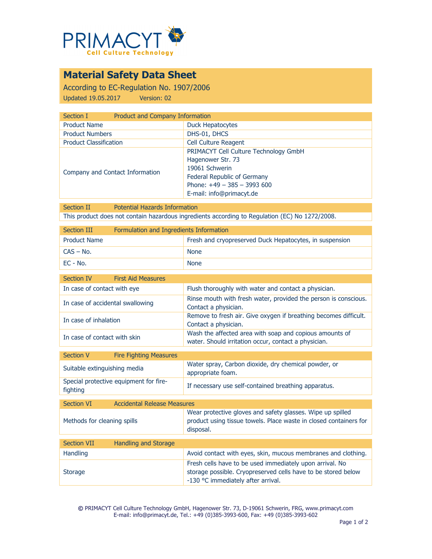

# **Material Safety Data Sheet**

According to EC-Regulation No. 1907/2006 Updated 19.05.2017 Version: 02

| Section I                       | Product and Company Information                                                                                                                                         |  |
|---------------------------------|-------------------------------------------------------------------------------------------------------------------------------------------------------------------------|--|
| <b>Product Name</b>             | <b>Duck Hepatocytes</b>                                                                                                                                                 |  |
| <b>Product Numbers</b>          | DHS-01, DHCS                                                                                                                                                            |  |
| <b>Product Classification</b>   | <b>Cell Culture Reagent</b>                                                                                                                                             |  |
| Company and Contact Information | PRIMACYT Cell Culture Technology GmbH<br>Hagenower Str. 73<br>19061 Schwerin<br>Federal Republic of Germany<br>Phone: $+49 - 385 - 3993600$<br>E-mail: info@primacyt.de |  |

Section II Potential Hazards Information This product does not contain hazardous ingredients according to Regulation (EC) No 1272/2008.

| Section III         | Formulation and Ingredients Information |                                                         |
|---------------------|-----------------------------------------|---------------------------------------------------------|
| <b>Product Name</b> |                                         | Fresh and cryopreserved Duck Hepatocytes, in suspension |
| CAS – No.           |                                         | <b>None</b>                                             |
| $FC - No.$          |                                         | <b>None</b>                                             |

| Section IV                       | <b>First Aid Measures</b>     |                                                                                                                 |
|----------------------------------|-------------------------------|-----------------------------------------------------------------------------------------------------------------|
| In case of contact with eye      |                               | Flush thoroughly with water and contact a physician.                                                            |
| In case of accidental swallowing |                               | Rinse mouth with fresh water, provided the person is conscious.<br>Contact a physician.                         |
| In case of inhalation            |                               | Remove to fresh air. Give oxygen if breathing becomes difficult.<br>Contact a physician.                        |
| In case of contact with skin     |                               | Wash the affected area with soap and copious amounts of<br>water. Should irritation occur, contact a physician. |
|                                  |                               |                                                                                                                 |
| <b>Section V</b>                 | <b>Fire Fighting Measures</b> |                                                                                                                 |

| <b>JULIUII</b> V             | <b>THE FIGHT PHOTO LIGATE</b>          |                                                                           |
|------------------------------|----------------------------------------|---------------------------------------------------------------------------|
| Suitable extinguishing media |                                        | Water spray, Carbon dioxide, dry chemical powder, or<br>appropriate foam. |
| fighting                     | Special protective equipment for fire- | If necessary use self-contained breathing apparatus.                      |

| <b>Section VI</b>           | <b>Accidental Release Measures</b> |                                                                                                                                                                 |
|-----------------------------|------------------------------------|-----------------------------------------------------------------------------------------------------------------------------------------------------------------|
| Methods for cleaning spills |                                    | Wear protective gloves and safety glasses. Wipe up spilled<br>product using tissue towels. Place waste in closed containers for<br>disposal.                    |
|                             |                                    |                                                                                                                                                                 |
| <b>Section VII</b>          | Handling and Storage               |                                                                                                                                                                 |
| <b>Handling</b>             |                                    | Avoid contact with eyes, skin, mucous membranes and clothing.                                                                                                   |
| <b>Storage</b>              |                                    | Fresh cells have to be used immediately upon arrival. No<br>storage possible. Cryopreserved cells have to be stored below<br>-130 °C immediately after arrival. |

**©** PRIMACYT Cell Culture Technology GmbH, Hagenower Str. 73, D-19061 Schwerin, FRG, www.primacyt.com E-mail: info@primacyt.de, Tel.: +49 (0)385-3993-600, Fax: +49 (0)385-3993-602